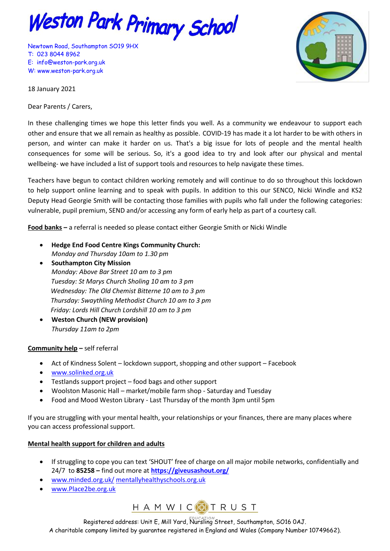

Newtown Road, Southampton SO19 9HX T: 023 8044 8962 E: [info@weston-park.org.uk](mailto:info@weston-park.org.uk) W: [www.weston-park.org.uk](http://www.weston-park.org.uk/)



18 January 2021

Dear Parents / Carers,

In these challenging times we hope this letter finds you well. As a community we endeavour to support each other and ensure that we all remain as healthy as possible. COVID-19 has made it a lot harder to be with others in person, and winter can make it harder on us. That's a big issue for lots of people and the mental health consequences for some will be serious. So, it's a good idea to try and look after our physical and mental wellbeing- we have included a list of support tools and resources to help navigate these times.

Teachers have begun to contact children working remotely and will continue to do so throughout this lockdown to help support online learning and to speak with pupils. In addition to this our SENCO, Nicki Windle and KS2 Deputy Head Georgie Smith will be contacting those families with pupils who fall under the following categories: vulnerable, pupil premium, SEND and/or accessing any form of early help as part of a courtesy call.

**Food banks –** a referral is needed so please contact either Georgie Smith or Nicki Windle

- **Hedge End Food Centre Kings Community Church:** *Monday and Thursday 10am to 1.30 pm*
- **•** Southampton City Mission *Monday: Above Bar Street 10 am to 3 pm Tuesday: St Marys Church Sholing 10 am to 3 pm Wednesday: The Old Chemist Bitterne 10 am to 3 pm Thursday: Swaythling Methodist Church 10 am to 3 pm Friday: Lords Hill Church Lordshill 10 am to 3 pm*
- **Weston Church (NEW provision)**  *Thursday 11am to 2pm*

## **Community help –** self referral

- Act of Kindness Solent lockdown support, shopping and other support Facebook
- [www.solinked.org.uk](http://www.solinked.org.uk/)
- Testlands support project food bags and other support
- Woolston Masonic Hall market/mobile farm shop Saturday and Tuesday
- Food and Mood Weston Library Last Thursday of the month 3pm until 5pm

If you are struggling with your mental health, your relationships or your finances, there are many places where you can access professional support.

## **Mental health support for children and adults**

- If struggling to cope you can text 'SHOUT' free of charge on all major mobile networks, confidentially and 24/7 to **85258 –** find out more at **<https://giveusashout.org/>**
- [www.minded.org.uk/](http://www.minded.org.uk/) [mentallyhealthyschools.org.uk](https://mentallyhealthyschools.org.uk/)
- [www.Place2be.org.uk](http://www.place2be.org.uk/)



Registered address: Unit E, Mill Yard, Nursling Street, Southampton, SO16 0AJ. A charitable company limited by guarantee registered in England and Wales (Company Number 10749662).